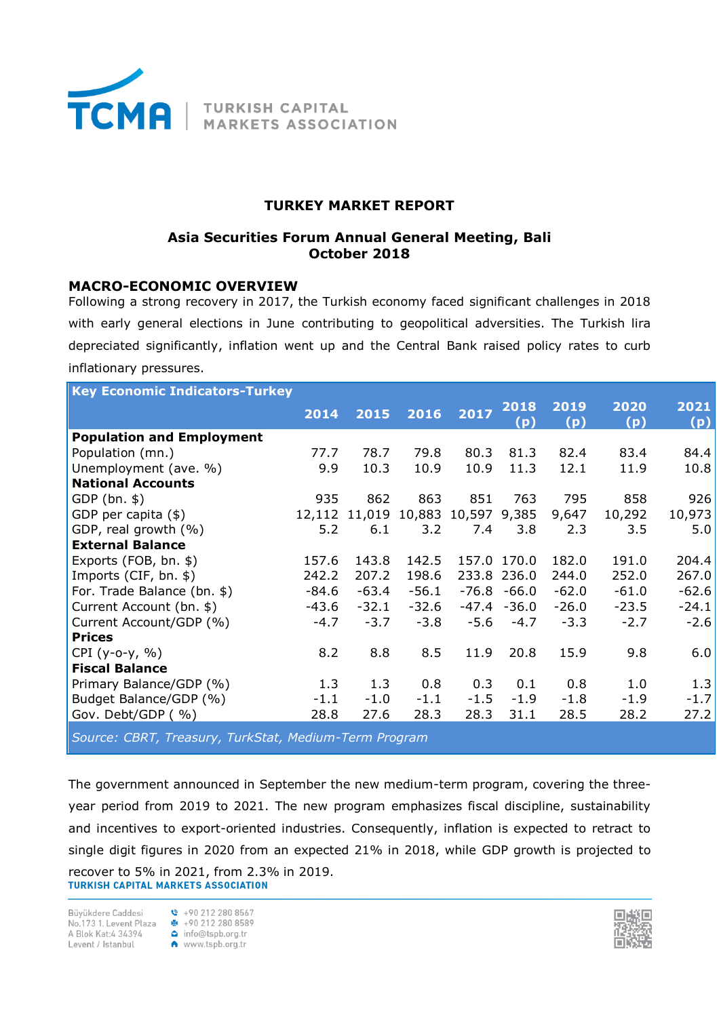

# **TURKEY MARKET REPORT**

# **Asia Securities Forum Annual General Meeting, Bali October 2018**

## **MACRO-ECONOMIC OVERVIEW**

Following a strong recovery in 2017, the Turkish economy faced significant challenges in 2018 with early general elections in June contributing to geopolitical adversities. The Turkish lira depreciated significantly, inflation went up and the Central Bank raised policy rates to curb inflationary pressures.

| <b>Key Economic Indicators-Turkey</b> |         |         |         |                     |                |             |             |             |
|---------------------------------------|---------|---------|---------|---------------------|----------------|-------------|-------------|-------------|
|                                       | 2014    | 2015    | 2016    | 2017                | 2018<br>(p)    | 2019<br>(p) | 2020<br>(p) | 2021<br>(p) |
| <b>Population and Employment</b>      |         |         |         |                     |                |             |             |             |
| Population (mn.)                      | 77.7    | 78.7    | 79.8    | 80.3                | 81.3           | 82.4        | 83.4        | 84.4        |
| Unemployment (ave. %)                 | 9.9     | 10.3    | 10.9    | 10.9                | 11.3           | 12.1        | 11.9        | 10.8        |
| <b>National Accounts</b>              |         |         |         |                     |                |             |             |             |
| $GDP(bn.$ \$)                         | 935     | 862     | 863     | 851                 | 763            | 795         | 858         | 926         |
| GDP per capita (\$)                   | 12,112  | 11,019  |         | 10,883 10,597 9,385 |                | 9,647       | 10,292      | 10,973      |
| GDP, real growth (%)                  | 5.2     | 6.1     | 3.2     | 7.4                 | 3.8            | 2.3         | 3.5         | 5.0         |
| <b>External Balance</b>               |         |         |         |                     |                |             |             |             |
| Exports (FOB, bn. \$)                 | 157.6   | 143.8   | 142.5   |                     | 157.0 170.0    | 182.0       | 191.0       | 204.4       |
| Imports (CIF, bn. \$)                 | 242.2   | 207.2   | 198.6   |                     | 233.8 236.0    | 244.0       | 252.0       | 267.0       |
| For. Trade Balance (bn. \$)           | $-84.6$ | $-63.4$ | $-56.1$ |                     | $-76.8 - 66.0$ | $-62.0$     | $-61.0$     | $-62.6$     |
| Current Account (bn. \$)              | $-43.6$ | $-32.1$ | $-32.6$ |                     | $-47.4 - 36.0$ | $-26.0$     | $-23.5$     | $-24.1$     |
| Current Account/GDP (%)               | $-4.7$  | $-3.7$  | $-3.8$  | $-5.6$              | $-4.7$         | $-3.3$      | $-2.7$      | $-2.6$      |
| <b>Prices</b>                         |         |         |         |                     |                |             |             |             |
| $CPI (y-o-y, %)$                      | 8.2     | 8.8     | 8.5     | 11.9                | 20.8           | 15.9        | 9.8         | 6.0         |
| <b>Fiscal Balance</b>                 |         |         |         |                     |                |             |             |             |
| Primary Balance/GDP (%)               | 1.3     | 1.3     | 0.8     | 0.3                 | 0.1            | 0.8         | 1.0         | 1.3         |
| Budget Balance/GDP (%)                | $-1.1$  | $-1.0$  | $-1.1$  | $-1.5$              | $-1.9$         | $-1.8$      | $-1.9$      | $-1.7$      |
| Gov. Debt/GDP (%)                     | 28.8    | 27.6    | 28.3    | 28.3                | 31.1           | 28.5        | 28.2        | 27.2        |
|                                       |         |         |         |                     |                |             |             |             |

*Source: CBRT, Treasury, TurkStat, Medium-Term Program*

The government announced in September the new medium-term program, covering the threeyear period from 2019 to 2021. The new program emphasizes fiscal discipline, sustainability and incentives to export-oriented industries. Consequently, inflation is expected to retract to single digit figures in 2020 from an expected 21% in 2018, while GDP growth is projected to recover to 5% in 2021, from 2.3% in 2019.<br>TURKISH CAPITAL MARKETS ASSOCIATION

Büvükdere Caddesi No.173 1. Levent Plaza **a** +90 212 280 8589<br>A Blok Kat:4 34394 **a** info@tspb.org.tr No.173 1. Levent Plaza **÷** +90 212 280 858<br>
A Blok Kat:4 34394 **△** info@tspb.org.tr<br>
Levent / Istanbul **←** www.tspb.org.tr

 $\binom{8}{1}$  +90 212 280 8567

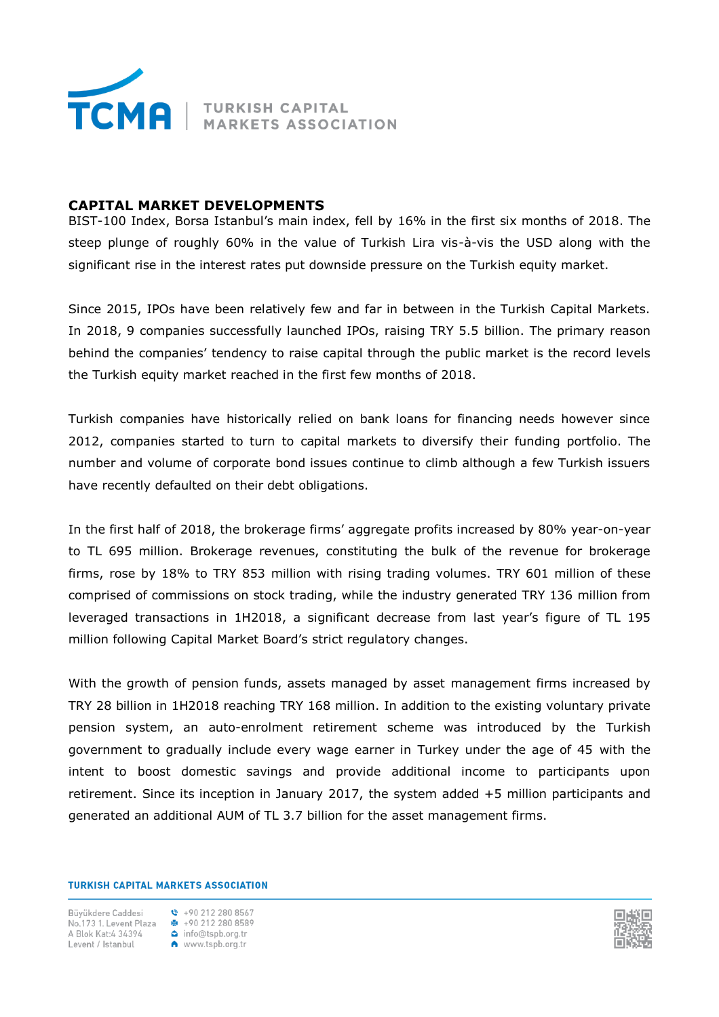

# **CAPITAL MARKET DEVELOPMENTS**

BIST-100 Index, Borsa Istanbul's main index, fell by 16% in the first six months of 2018. The steep plunge of roughly 60% in the value of Turkish Lira vis-à-vis the USD along with the significant rise in the interest rates put downside pressure on the Turkish equity market.

Since 2015, IPOs have been relatively few and far in between in the Turkish Capital Markets. In 2018, 9 companies successfully launched IPOs, raising TRY 5.5 billion. The primary reason behind the companies' tendency to raise capital through the public market is the record levels the Turkish equity market reached in the first few months of 2018.

Turkish companies have historically relied on bank loans for financing needs however since 2012, companies started to turn to capital markets to diversify their funding portfolio. The number and volume of corporate bond issues continue to climb although a few Turkish issuers have recently defaulted on their debt obligations.

In the first half of 2018, the brokerage firms' aggregate profits increased by 80% year-on-year to TL 695 million. Brokerage revenues, constituting the bulk of the revenue for brokerage firms, rose by 18% to TRY 853 million with rising trading volumes. TRY 601 million of these comprised of commissions on stock trading, while the industry generated TRY 136 million from leveraged transactions in 1H2018, a significant decrease from last year's figure of TL 195 million following Capital Market Board's strict regulatory changes.

With the growth of pension funds, assets managed by asset management firms increased by TRY 28 billion in 1H2018 reaching TRY 168 million. In addition to the existing voluntary private pension system, an auto-enrolment retirement scheme was introduced by the Turkish government to gradually include every wage earner in Turkey under the age of 45 with the intent to boost domestic savings and provide additional income to participants upon retirement. Since its inception in January 2017, the system added +5 million participants and generated an additional AUM of TL 3.7 billion for the asset management firms.

#### **TURKISH CAPITAL MARKETS ASSOCIATION**

Büvükdere Caddesi No.173 1. Levent Plaza <br>  $\bullet$  +90 212 280 8589<br>
A Blok Kat:4 34394 <br>
Levent / Istanbul <br>
A www.tspb.org.tr

 $\binom{8}{1}$  +90 212 280 8567

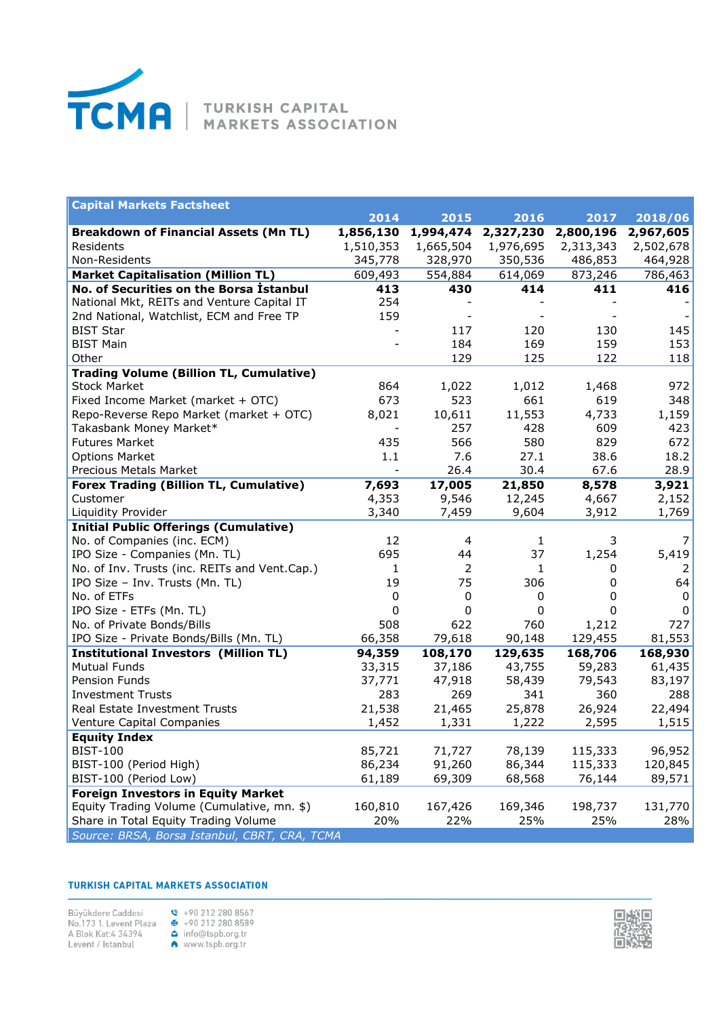

| <b>Capital Markets Factsheet</b>               |           |                |           |           |           |
|------------------------------------------------|-----------|----------------|-----------|-----------|-----------|
|                                                | 2014      | 2015           | 2016      | 2017      | 2018/06   |
| <b>Breakdown of Financial Assets (Mn TL)</b>   | 1,856,130 | 1,994,474      | 2,327,230 | 2,800,196 | 2,967,605 |
| Residents                                      | 1,510,353 | 1,665,504      | 1,976,695 | 2,313,343 | 2,502,678 |
| Non-Residents                                  | 345,778   | 328,970        | 350,536   | 486,853   | 464,928   |
| <b>Market Capitalisation (Million TL)</b>      | 609,493   | 554,884        | 614,069   | 873,246   | 786,463   |
| No. of Securities on the Borsa İstanbul        | 413       | 430            | 414       | 411       | 416       |
| National Mkt, REITs and Venture Capital IT     | 254       |                |           |           |           |
| 2nd National, Watchlist, ECM and Free TP       | 159       |                |           |           |           |
| <b>BIST Star</b>                               |           | 117            | 120       | 130       | 145       |
| <b>BIST Main</b>                               |           | 184            | 169       | 159       | 153       |
| Other                                          |           | 129            | 125       | 122       | 118       |
| <b>Trading Volume (Billion TL, Cumulative)</b> |           |                |           |           |           |
| <b>Stock Market</b>                            | 864       | 1,022          | 1,012     | 1,468     | 972       |
| Fixed Income Market (market + OTC)             | 673       | 523            | 661       | 619       | 348       |
| Repo-Reverse Repo Market (market + OTC)        | 8,021     | 10,611         | 11,553    | 4,733     | 1,159     |
| Takasbank Money Market*                        |           | 257            | 428       | 609       | 423       |
| <b>Futures Market</b>                          | 435       | 566            | 580       | 829       | 672       |
| <b>Options Market</b>                          | 1.1       | 7.6            | 27.1      | 38.6      | 18.2      |
| Precious Metals Market                         |           | 26.4           | 30.4      | 67.6      | 28.9      |
| <b>Forex Trading (Billion TL, Cumulative)</b>  | 7,693     | 17,005         | 21,850    | 8,578     | 3,921     |
| Customer                                       | 4,353     | 9,546          | 12,245    | 4,667     | 2,152     |
| Liquidity Provider                             | 3,340     | 7,459          | 9,604     | 3,912     | 1,769     |
| <b>Initial Public Offerings (Cumulative)</b>   |           |                |           |           |           |
| No. of Companies (inc. ECM)                    | 12        | 4              | 1         | 3         | 7         |
| IPO Size - Companies (Mn. TL)                  | 695       | 44             | 37        | 1,254     | 5,419     |
| No. of Inv. Trusts (inc. REITs and Vent.Cap.)  | 1         | $\overline{2}$ | 1         | 0         | 2         |
| IPO Size - Inv. Trusts (Mn. TL)                | 19        | 75             | 306       | 0         | 64        |
| No. of ETFs                                    | 0         | 0              | 0         | 0         | 0         |
| IPO Size - ETFs (Mn. TL)                       | 0         | 0              | 0         | 0         | 0         |
| No. of Private Bonds/Bills                     | 508       | 622            | 760       | 1,212     | 727       |
| IPO Size - Private Bonds/Bills (Mn. TL)        | 66,358    | 79,618         | 90,148    | 129,455   | 81,553    |
| <b>Institutional Investors (Million TL)</b>    | 94,359    | 108,170        | 129,635   | 168,706   | 168,930   |
| <b>Mutual Funds</b>                            | 33,315    | 37,186         | 43,755    | 59,283    | 61,435    |
| Pension Funds                                  | 37,771    | 47,918         | 58,439    | 79,543    | 83,197    |
| <b>Investment Trusts</b>                       | 283       | 269            | 341       | 360       | 288       |
| Real Estate Investment Trusts                  | 21,538    | 21,465         | 25,878    | 26,924    | 22,494    |
| Venture Capital Companies                      | 1,452     | 1,331          | 1,222     | 2,595     | 1,515     |
| <b>Equity Index</b>                            |           |                |           |           |           |
| <b>BIST-100</b>                                | 85,721    | 71,727         | 78,139    | 115,333   | 96,952    |
| BIST-100 (Period High)                         | 86,234    | 91,260         | 86,344    | 115,333   | 120,845   |
| BIST-100 (Period Low)                          | 61,189    | 69,309         | 68,568    | 76,144    | 89,571    |
| <b>Foreign Investors in Equity Market</b>      |           |                |           |           |           |
| Equity Trading Volume (Cumulative, mn. \$)     | 160,810   | 167,426        | 169,346   | 198,737   | 131,770   |
| Share in Total Equity Trading Volume           | 20%       | 22%            | 25%       | 25%       | 28%       |
| Source: BRSA, Borsa Istanbul, CBRT, CRA, TCMA  |           |                |           |           |           |

### **TURKISH CAPITAL MARKETS ASSOCIATION**

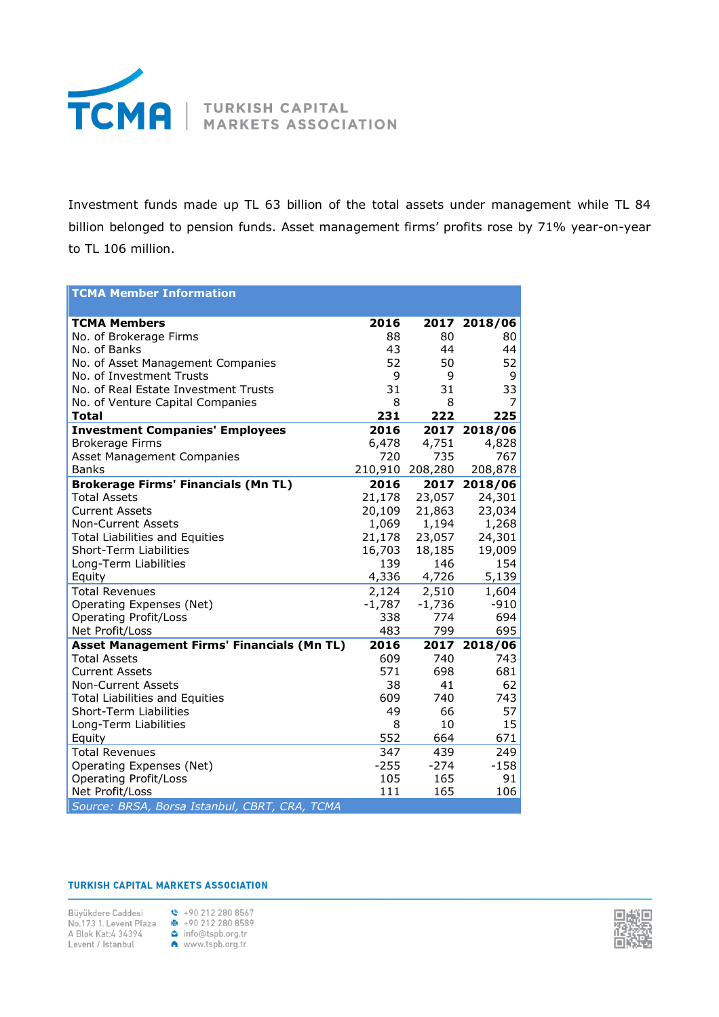

Investment funds made up TL 63 billion of the total assets under management while TL 84 billion belonged to pension funds. Asset management firms' profits rose by 71% year-on-year to TL 106 million.

| <b>TCMA Member Information</b>                    |          |          |              |
|---------------------------------------------------|----------|----------|--------------|
| <b>TCMA Members</b>                               | 2016     |          | 2017 2018/06 |
| No. of Brokerage Firms                            | 88       | 80       | 80           |
| No. of Banks                                      | 43       | 44       | 44           |
| No. of Asset Management Companies                 | 52       | 50       | 52           |
| No. of Investment Trusts                          | 9        | 9        | 9            |
| No. of Real Estate Investment Trusts              | 31       | 31       | 33           |
| No. of Venture Capital Companies                  | 8        | 8        | 7            |
| <b>Total</b>                                      | 231      | 222      | 225          |
| <b>Investment Companies' Employees</b>            | 2016     | 2017     | 2018/06      |
| <b>Brokerage Firms</b>                            | 6,478    | 4,751    | 4,828        |
| Asset Management Companies                        | 720      | 735      | 767          |
| <b>Banks</b>                                      | 210,910  | 208,280  | 208,878      |
| <b>Brokerage Firms' Financials (Mn TL)</b>        | 2016     | 2017     | 2018/06      |
| <b>Total Assets</b>                               | 21,178   | 23,057   | 24,301       |
| <b>Current Assets</b>                             | 20,109   | 21,863   | 23,034       |
| <b>Non-Current Assets</b>                         | 1,069    | 1,194    | 1,268        |
| <b>Total Liabilities and Equities</b>             | 21,178   | 23,057   | 24,301       |
| Short-Term Liabilities                            | 16,703   | 18,185   | 19,009       |
| Long-Term Liabilities                             | 139      | 146      | 154          |
| Equity                                            | 4,336    | 4,726    | 5,139        |
| <b>Total Revenues</b>                             | 2,124    | 2,510    | 1,604        |
| Operating Expenses (Net)                          | $-1,787$ | $-1,736$ | $-910$       |
| <b>Operating Profit/Loss</b>                      | 338      | 774      | 694          |
| Net Profit/Loss                                   | 483      | 799      | 695          |
| <b>Asset Management Firms' Financials (Mn TL)</b> | 2016     | 2017     | 2018/06      |
| <b>Total Assets</b>                               | 609      | 740      | 743          |
| <b>Current Assets</b>                             | 571      | 698      | 681          |
| <b>Non-Current Assets</b>                         | 38       | 41       | 62           |
| <b>Total Liabilities and Equities</b>             | 609      | 740      | 743          |
| Short-Term Liabilities                            | 49       | 66       | 57           |
| Long-Term Liabilities                             | 8        | 10       | 15           |
| Equity                                            | 552      | 664      | 671          |
| <b>Total Revenues</b>                             | 347      | 439      | 249          |
| Operating Expenses (Net)                          | $-255$   | $-274$   | $-158$       |
| <b>Operating Profit/Loss</b>                      | 105      | 165      | 91           |
| Net Profit/Loss                                   | 111      | 165      | 106          |
| Source: BRSA, Borsa Istanbul, CBRT, CRA, TCMA     |          |          |              |

#### **TURKISH CAPITAL MARKETS ASSOCIATION**

Büyükdere Caddesi \ +90 212 280 8567 No.173 1. Levent Plaza  $\frac{12}{3}$  +90 212 280 8589<br>A Blok Kat:4 34394 **C** info@tspb.org.tr<br>Levent / Istanbul **C** www.tspb.org.tr



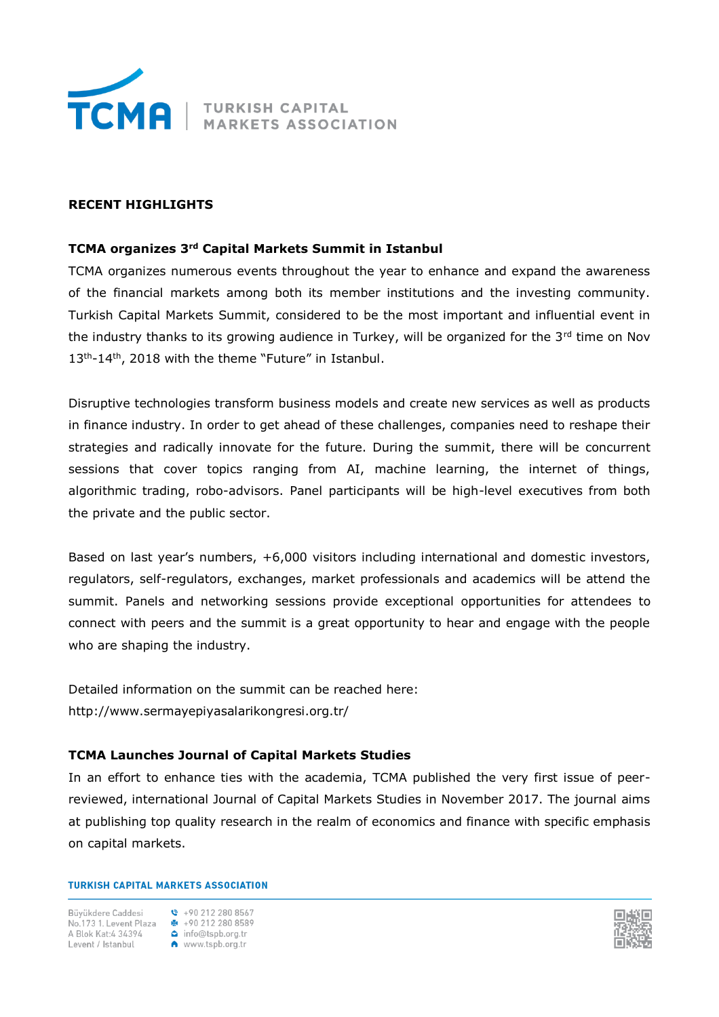

## **RECENT HIGHLIGHTS**

## **TCMA organizes 3rd Capital Markets Summit in Istanbul**

TCMA organizes numerous events throughout the year to enhance and expand the awareness of the financial markets among both its member institutions and the investing community. Turkish Capital Markets Summit, considered to be the most important and influential event in the industry thanks to its growing audience in Turkey, will be organized for the  $3<sup>rd</sup>$  time on Nov 13<sup>th</sup>-14<sup>th</sup>, 2018 with the theme "Future" in Istanbul.

Disruptive technologies transform business models and create new services as well as products in finance industry. In order to get ahead of these challenges, companies need to reshape their strategies and radically innovate for the future. During the summit, there will be concurrent sessions that cover topics ranging from AI, machine learning, the internet of things, algorithmic trading, robo-advisors. Panel participants will be high-level executives from both the private and the public sector.

Based on last year's numbers, +6,000 visitors including international and domestic investors, regulators, self-regulators, exchanges, market professionals and academics will be attend the summit. Panels and networking sessions provide exceptional opportunities for attendees to connect with peers and the summit is a great opportunity to hear and engage with the people who are shaping the industry.

Detailed information on the summit can be reached here: http://www.sermayepiyasalarikongresi.org.tr/

# **TCMA Launches Journal of Capital Markets Studies**

In an effort to enhance ties with the academia, TCMA published the very first issue of peerreviewed, international Journal of Capital Markets Studies in November 2017. The journal aims at publishing top quality research in the realm of economics and finance with specific emphasis on capital markets.

### **TURKISH CAPITAL MARKETS ASSOCIATION**

Büyükdere Caddesi No.173 1. Levent Plaza +90 212 280 8589 A Blok Kat: 4 34394 Levent / Istanbul

 $\binom{8}{1}$  +90 212 280 8567 info@tspb.org.tr www.tspb.org.tr